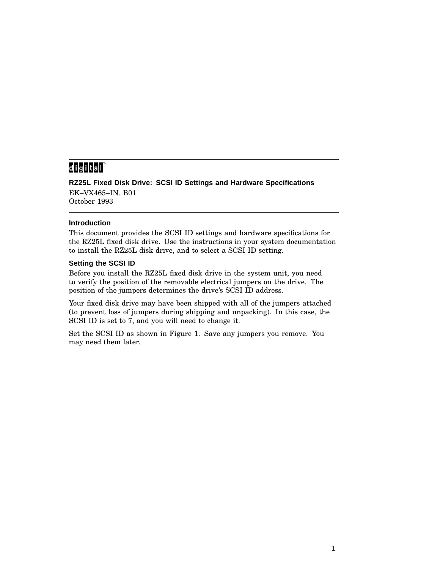# 

**RZ25L Fixed Disk Drive: SCSI ID Settings and Hardware Specifications** EK–VX465–IN. B01 October 1993

### **Introduction**

This document provides the SCSI ID settings and hardware specifications for the RZ25L fixed disk drive. Use the instructions in your system documentation to install the RZ25L disk drive, and to select a SCSI ID setting.

### **Setting the SCSI ID**

Before you install the RZ25L fixed disk drive in the system unit, you need to verify the position of the removable electrical jumpers on the drive. The position of the jumpers determines the drive's SCSI ID address.

Your fixed disk drive may have been shipped with all of the jumpers attached (to prevent loss of jumpers during shipping and unpacking). In this case, the SCSI ID is set to 7, and you will need to change it.

Set the SCSI ID as shown in Figure 1. Save any jumpers you remove. You may need them later.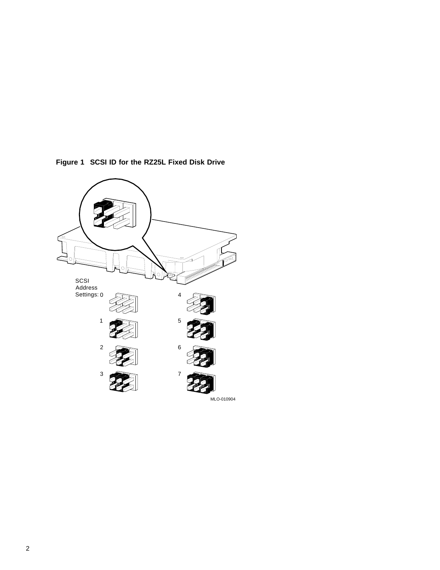

**Figure 1 SCSI ID for the RZ25L Fixed Disk Drive**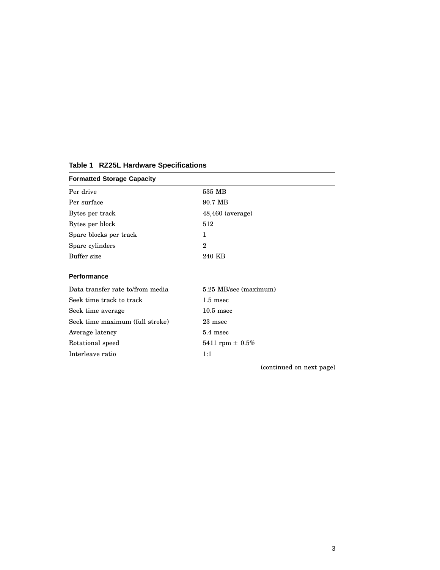| <b>Formatted Storage Capacity</b> |                       |
|-----------------------------------|-----------------------|
| Per drive                         | 535 MB                |
| Per surface                       | 90.7 MB               |
| Bytes per track                   | $48,460$ (average)    |
| Bytes per block                   | 512                   |
| Spare blocks per track            | 1                     |
| Spare cylinders                   | $\overline{2}$        |
| Buffer size                       | 240 KB                |
| <b>Performance</b>                |                       |
| Data transfer rate to/from media  | 5.25 MB/sec (maximum) |
| Seek time track to track          | $1.5$ msec            |
| Seek time average                 | $10.5$ msec           |
| Seek time maximum (full stroke)   | 23 msec               |
| Average latency                   | 5.4 msec              |
| Rotational speed                  | 5411 rpm $\pm 0.5\%$  |
| Interleave ratio                  | 1:1                   |
|                                   |                       |

#### **Table 1 RZ25L Hardware Specifications**

(continued on next page)